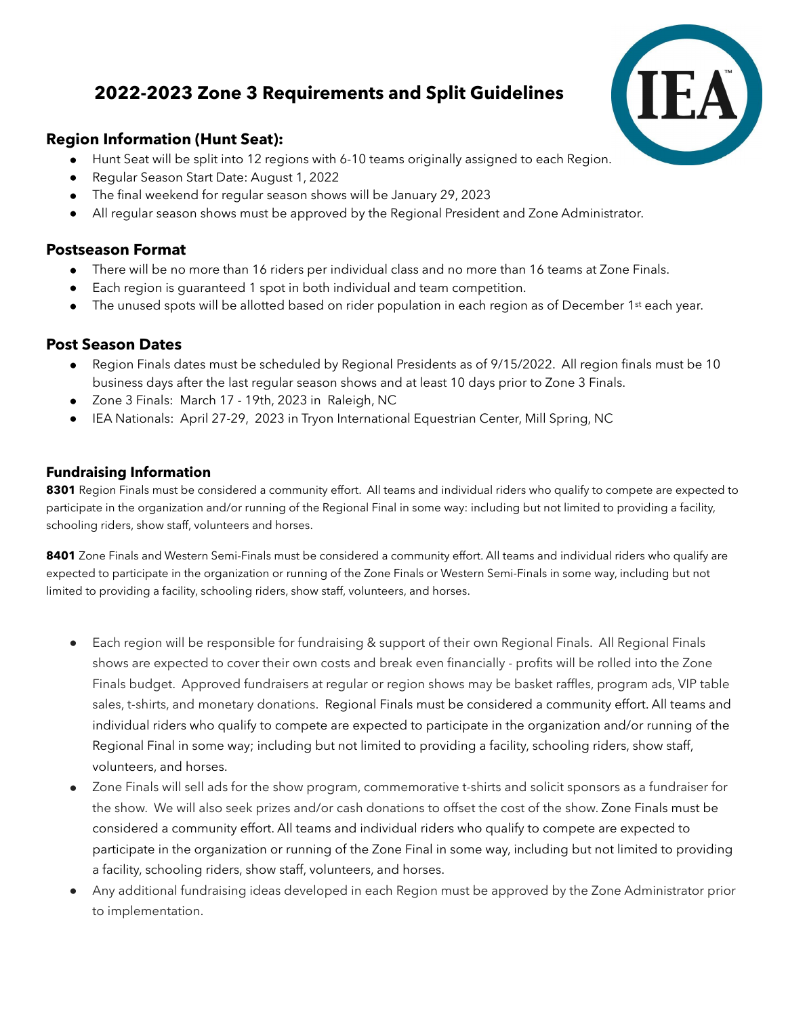# **2022-2023 Zone 3 Requirements and Split Guidelines**

# **Region Information (Hunt Seat):**

- Hunt Seat will be split into 12 regions with 6-10 teams originally assigned to each Region.
- Regular Season Start Date: August 1, 2022
- The final weekend for regular season shows will be January 29, 2023
- All regular season shows must be approved by the Regional President and Zone Administrator.

#### **Postseason Format**

- There will be no more than 16 riders per individual class and no more than 16 teams at Zone Finals.
- Each region is guaranteed 1 spot in both individual and team competition.
- The unused spots will be allotted based on rider population in each region as of December 1<sup>st</sup> each year.

## **Post Season Dates**

- Region Finals dates must be scheduled by Regional Presidents as of 9/15/2022. All region finals must be 10 business days after the last regular season shows and at least 10 days prior to Zone 3 Finals.
- Zone 3 Finals: March 17 19th, 2023 in Raleigh, NC
- IEA Nationals: April 27-29, 2023 in Tryon International Equestrian Center, Mill Spring, NC

## **Fundraising Information**

**8301** Region Finals must be considered a community effort. All teams and individual riders who qualify to compete are expected to participate in the organization and/or running of the Regional Final in some way: including but not limited to providing a facility, schooling riders, show staff, volunteers and horses.

**8401** Zone Finals and Western Semi-Finals must be considered a community effort. All teams and individual riders who qualify are expected to participate in the organization or running of the Zone Finals or Western Semi-Finals in some way, including but not limited to providing a facility, schooling riders, show staff, volunteers, and horses.

- Each region will be responsible for fundraising & support of their own Regional Finals. All Regional Finals shows are expected to cover their own costs and break even financially - profits will be rolled into the Zone Finals budget. Approved fundraisers at regular or region shows may be basket raffles, program ads, VIP table sales, t-shirts, and monetary donations. Regional Finals must be considered a community effort. All teams and individual riders who qualify to compete are expected to participate in the organization and/or running of the Regional Final in some way; including but not limited to providing a facility, schooling riders, show staff, volunteers, and horses.
- Zone Finals will sell ads for the show program, commemorative t-shirts and solicit sponsors as a fundraiser for the show. We will also seek prizes and/or cash donations to offset the cost of the show. Zone Finals must be considered a community effort. All teams and individual riders who qualify to compete are expected to participate in the organization or running of the Zone Final in some way, including but not limited to providing a facility, schooling riders, show staff, volunteers, and horses.
- Any additional fundraising ideas developed in each Region must be approved by the Zone Administrator prior to implementation.

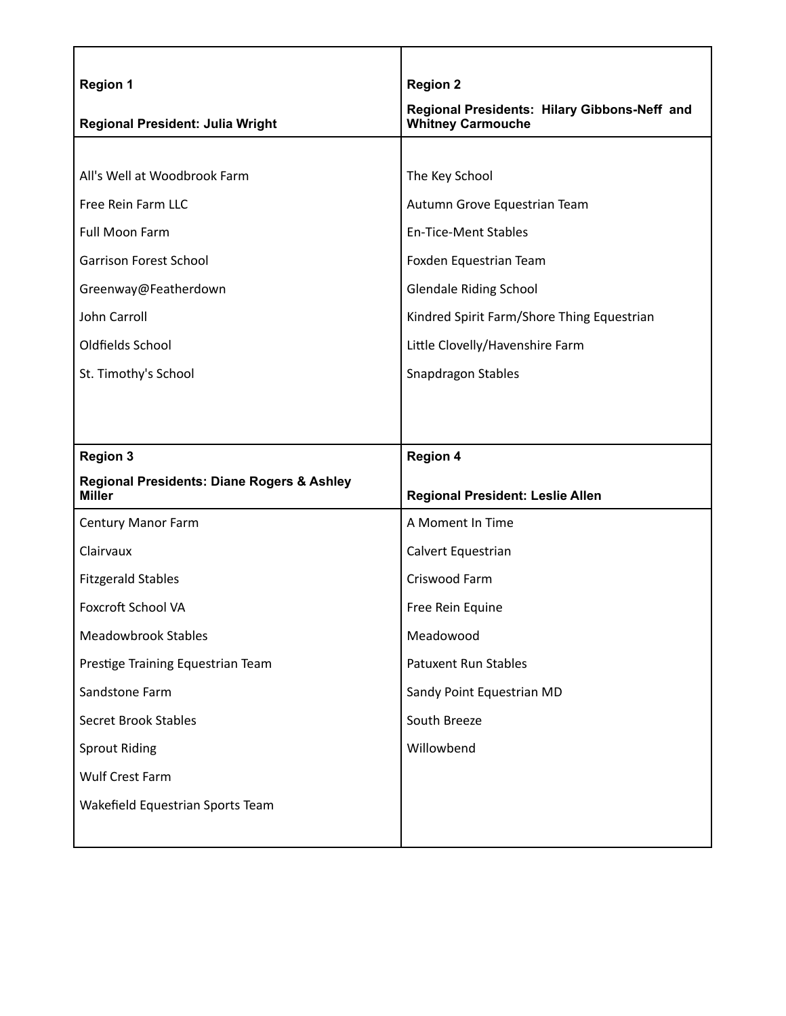| <b>Region 1</b>                                                        | <b>Region 2</b>                                                          |
|------------------------------------------------------------------------|--------------------------------------------------------------------------|
| Regional President: Julia Wright                                       | Regional Presidents: Hilary Gibbons-Neff and<br><b>Whitney Carmouche</b> |
|                                                                        |                                                                          |
| All's Well at Woodbrook Farm                                           | The Key School                                                           |
| Free Rein Farm LLC                                                     | Autumn Grove Equestrian Team                                             |
| Full Moon Farm                                                         | <b>En-Tice-Ment Stables</b>                                              |
| <b>Garrison Forest School</b>                                          | Foxden Equestrian Team                                                   |
| Greenway@Featherdown                                                   | <b>Glendale Riding School</b>                                            |
| John Carroll                                                           | Kindred Spirit Farm/Shore Thing Equestrian                               |
| Oldfields School                                                       | Little Clovelly/Havenshire Farm                                          |
| St. Timothy's School                                                   | Snapdragon Stables                                                       |
|                                                                        |                                                                          |
|                                                                        |                                                                          |
| <b>Region 3</b>                                                        | <b>Region 4</b>                                                          |
| <b>Regional Presidents: Diane Rogers &amp; Ashley</b><br><b>Miller</b> | Regional President: Leslie Allen                                         |
| <b>Century Manor Farm</b>                                              | A Moment In Time                                                         |
| Clairvaux                                                              | Calvert Equestrian                                                       |
| <b>Fitzgerald Stables</b>                                              | Criswood Farm                                                            |
| <b>Foxcroft School VA</b>                                              | Free Rein Equine                                                         |
| <b>Meadowbrook Stables</b>                                             | Meadowood                                                                |
| Prestige Training Equestrian Team                                      | <b>Patuxent Run Stables</b>                                              |
| Sandstone Farm                                                         | Sandy Point Equestrian MD                                                |
| <b>Secret Brook Stables</b>                                            | South Breeze                                                             |
| <b>Sprout Riding</b>                                                   | Willowbend                                                               |
| <b>Wulf Crest Farm</b>                                                 |                                                                          |
| Wakefield Equestrian Sports Team                                       |                                                                          |
|                                                                        |                                                                          |

٦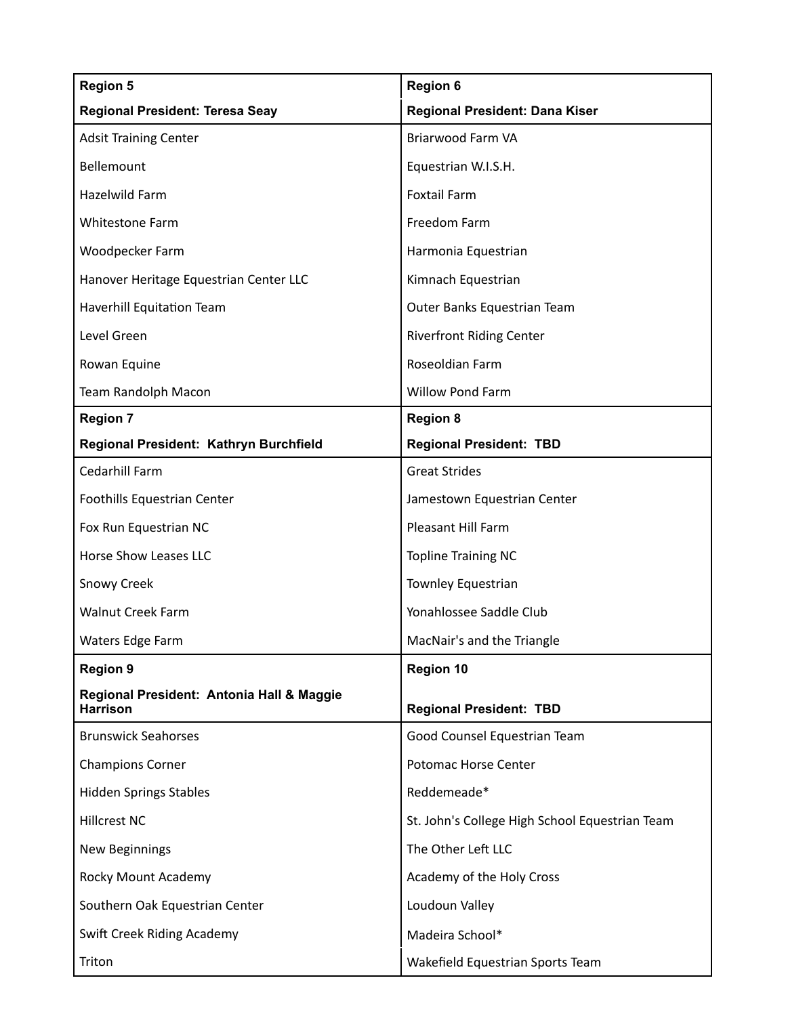| <b>Region 5</b>                                              | <b>Region 6</b>                                |
|--------------------------------------------------------------|------------------------------------------------|
| <b>Regional President: Teresa Seay</b>                       | Regional President: Dana Kiser                 |
| <b>Adsit Training Center</b>                                 | Briarwood Farm VA                              |
| Bellemount                                                   | Equestrian W.I.S.H.                            |
| Hazelwild Farm                                               | <b>Foxtail Farm</b>                            |
| <b>Whitestone Farm</b>                                       | Freedom Farm                                   |
| Woodpecker Farm                                              | Harmonia Equestrian                            |
| Hanover Heritage Equestrian Center LLC                       | Kimnach Equestrian                             |
| Haverhill Equitation Team                                    | Outer Banks Equestrian Team                    |
| Level Green                                                  | <b>Riverfront Riding Center</b>                |
| Rowan Equine                                                 | Roseoldian Farm                                |
| Team Randolph Macon                                          | Willow Pond Farm                               |
| <b>Region 7</b>                                              | <b>Region 8</b>                                |
| Regional President: Kathryn Burchfield                       | <b>Regional President: TBD</b>                 |
| Cedarhill Farm                                               | <b>Great Strides</b>                           |
| Foothills Equestrian Center                                  | Jamestown Equestrian Center                    |
| Fox Run Equestrian NC                                        | Pleasant Hill Farm                             |
| <b>Horse Show Leases LLC</b>                                 | <b>Topline Training NC</b>                     |
| <b>Snowy Creek</b>                                           | Townley Equestrian                             |
| <b>Walnut Creek Farm</b>                                     | Yonahlossee Saddle Club                        |
| Waters Edge Farm                                             | MacNair's and the Triangle                     |
| <b>Region 9</b>                                              | <b>Region 10</b>                               |
| Regional President: Antonia Hall & Maggie<br><b>Harrison</b> | <b>Regional President: TBD</b>                 |
| <b>Brunswick Seahorses</b>                                   | Good Counsel Equestrian Team                   |
| <b>Champions Corner</b>                                      | Potomac Horse Center                           |
| <b>Hidden Springs Stables</b>                                | Reddemeade*                                    |
| <b>Hillcrest NC</b>                                          | St. John's College High School Equestrian Team |
| <b>New Beginnings</b>                                        | The Other Left LLC                             |
| Rocky Mount Academy                                          | Academy of the Holy Cross                      |
| Southern Oak Equestrian Center                               | Loudoun Valley                                 |
| Swift Creek Riding Academy                                   | Madeira School*                                |
| Triton                                                       | Wakefield Equestrian Sports Team               |